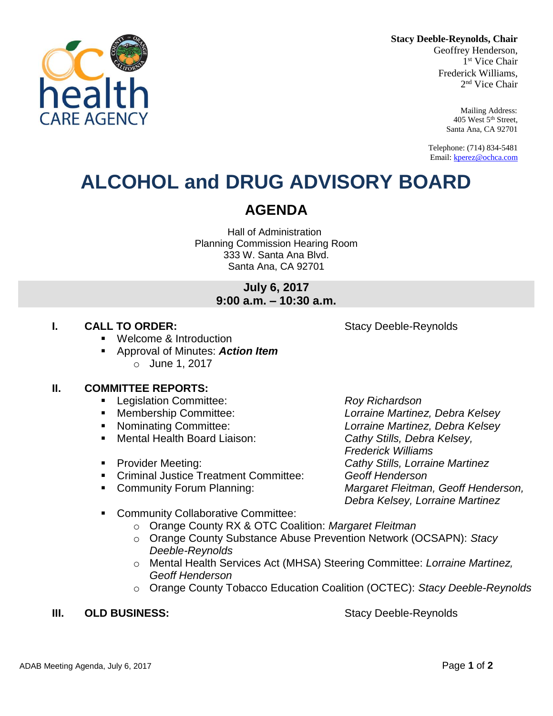**Stacy Deeble-Reynolds, Chair**

Geoffrey Henderson, 1 st Vice Chair Frederick Williams, 2 nd Vice Chair

> Mailing Address: 405 West 5th Street, Santa Ana, CA 92701

Telephone: (714) 834-5481 Email[: kperez@ochca.com](mailto:kperez@ochca.com)

## **ALCOHOL and DRUG ADVISORY BOARD**

### **AGENDA**

Hall of Administration Planning Commission Hearing Room 333 W. Santa Ana Blvd. Santa Ana, CA 92701

### **July 6, 2017 9:00 a.m. – 10:30 a.m.**

#### **I. CALL TO ORDER:** Stacy Deeble-Reynolds

- Welcome & Introduction
- Approval of Minutes: *Action Item* o June 1, 2017

#### **II. COMMITTEE REPORTS:**

- Legislation Committee: *Roy Richardson*
- 
- 
- Mental Health Board Liaison: *Cathy Stills, Debra Kelsey,*
- 
- Criminal Justice Treatment Committee: *Geoff Henderson*
- 

 Membership Committee: *Lorraine Martinez, Debra Kelsey* Nominating Committee: *Lorraine Martinez, Debra Kelsey Frederick Williams* Provider Meeting: *Cathy Stills, Lorraine Martinez* Community Forum Planning: *Margaret Fleitman, Geoff Henderson, Debra Kelsey, Lorraine Martinez*

- **EXECOMMUNITY Collaborative Committee:** 
	- o Orange County RX & OTC Coalition: *Margaret Fleitman*
	- o Orange County Substance Abuse Prevention Network (OCSAPN): *Stacy Deeble-Reynolds*
	- o Mental Health Services Act (MHSA) Steering Committee: *Lorraine Martinez, Geoff Henderson*
	- o Orange County Tobacco Education Coalition (OCTEC): *Stacy Deeble-Reynolds*

#### **III. OLD BUSINESS:** Stacy Deeble-Reynolds